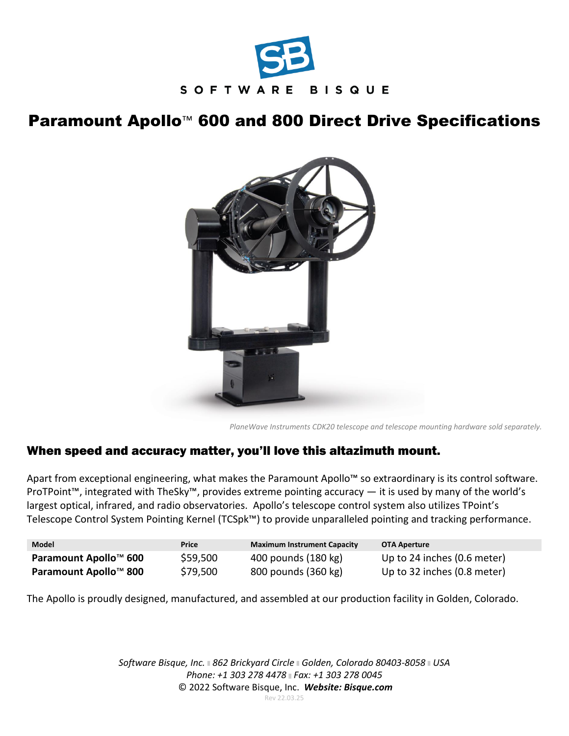

## Paramount Apollo<sup>™</sup> 600 and 800 Direct Drive Specifications



*PlaneWave Instruments CDK20 telescope and telescope mounting hardware sold separately.*

## When speed and accuracy matter, you'll love this altazimuth mount.

Apart from exceptional engineering, what makes the Paramount Apollo™ so extraordinary is its control software. ProTPoint™, integrated with TheSky™, provides extreme pointing accuracy — it is used by many of the world's largest optical, infrared, and radio observatories. Apollo's telescope control system also utilizes TPoint's Telescope Control System Pointing Kernel (TCSpk™) to provide unparalleled pointing and tracking performance.

| <b>Model</b>          | Price    | <b>Maximum Instrument Capacity</b> | <b>OTA Aperture</b>         |
|-----------------------|----------|------------------------------------|-----------------------------|
| Paramount Apollo™ 600 | \$59,500 | 400 pounds (180 kg)                | Up to 24 inches (0.6 meter) |
| Paramount Apollo™ 800 | \$79,500 | 800 pounds (360 kg)                | Up to 32 inches (0.8 meter) |

The Apollo is proudly designed, manufactured, and assembled at our production facility in Golden, Colorado.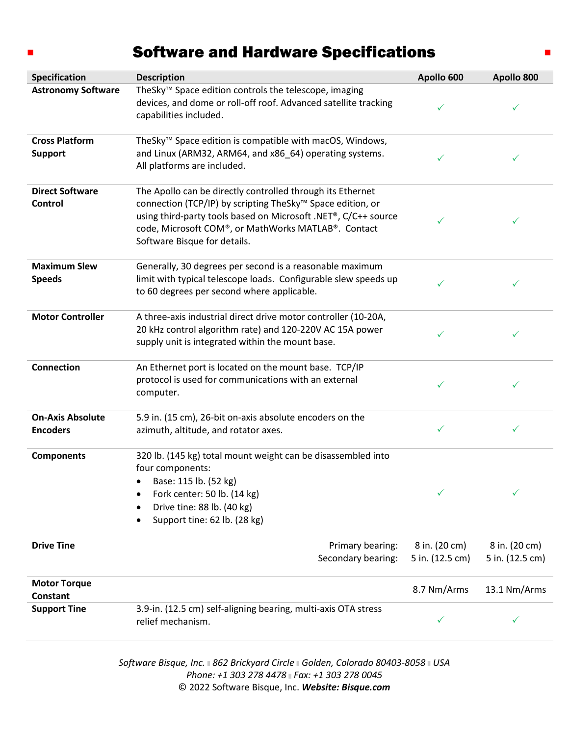## Software and Hardware Specifications

 $\blacksquare$ 

| Specification                              | <b>Description</b>                                                                                                                                                                                                                                                                            | Apollo 600                       | Apollo 800                       |
|--------------------------------------------|-----------------------------------------------------------------------------------------------------------------------------------------------------------------------------------------------------------------------------------------------------------------------------------------------|----------------------------------|----------------------------------|
| <b>Astronomy Software</b>                  | TheSky <sup>™</sup> Space edition controls the telescope, imaging<br>devices, and dome or roll-off roof. Advanced satellite tracking<br>capabilities included.                                                                                                                                | ✓                                | ✓                                |
| <b>Cross Platform</b><br><b>Support</b>    | TheSky <sup>™</sup> Space edition is compatible with macOS, Windows,<br>and Linux (ARM32, ARM64, and x86_64) operating systems.<br>All platforms are included.                                                                                                                                | ✓                                | ✓                                |
| <b>Direct Software</b><br><b>Control</b>   | The Apollo can be directly controlled through its Ethernet<br>connection (TCP/IP) by scripting TheSky <sup>™</sup> Space edition, or<br>using third-party tools based on Microsoft .NET®, C/C++ source<br>code, Microsoft COM®, or MathWorks MATLAB®. Contact<br>Software Bisque for details. | ✓                                | ✓                                |
| <b>Maximum Slew</b><br><b>Speeds</b>       | Generally, 30 degrees per second is a reasonable maximum<br>limit with typical telescope loads. Configurable slew speeds up<br>to 60 degrees per second where applicable.                                                                                                                     | ✓                                | ✓                                |
| <b>Motor Controller</b>                    | A three-axis industrial direct drive motor controller (10-20A,<br>20 kHz control algorithm rate) and 120-220V AC 15A power<br>supply unit is integrated within the mount base.                                                                                                                | ✓                                | ✓                                |
| <b>Connection</b>                          | An Ethernet port is located on the mount base. TCP/IP<br>protocol is used for communications with an external<br>computer.                                                                                                                                                                    | ✓                                | ✓                                |
| <b>On-Axis Absolute</b><br><b>Encoders</b> | 5.9 in. (15 cm), 26-bit on-axis absolute encoders on the<br>azimuth, altitude, and rotator axes.                                                                                                                                                                                              | ✓                                | ✓                                |
| <b>Components</b>                          | 320 lb. (145 kg) total mount weight can be disassembled into<br>four components:<br>Base: 115 lb. (52 kg)<br>Fork center: 50 lb. (14 kg)<br>Drive tine: 88 lb. (40 kg)<br>Support tine: 62 lb. (28 kg)                                                                                        | ✓                                | $\checkmark$                     |
| <b>Drive Tine</b>                          | Primary bearing:<br>Secondary bearing:                                                                                                                                                                                                                                                        | 8 in. (20 cm)<br>5 in. (12.5 cm) | 8 in. (20 cm)<br>5 in. (12.5 cm) |
| <b>Motor Torque</b><br><b>Constant</b>     |                                                                                                                                                                                                                                                                                               | 8.7 Nm/Arms                      | 13.1 Nm/Arms                     |
| <b>Support Tine</b>                        | 3.9-in. (12.5 cm) self-aligning bearing, multi-axis OTA stress<br>relief mechanism.                                                                                                                                                                                                           | $\checkmark$                     |                                  |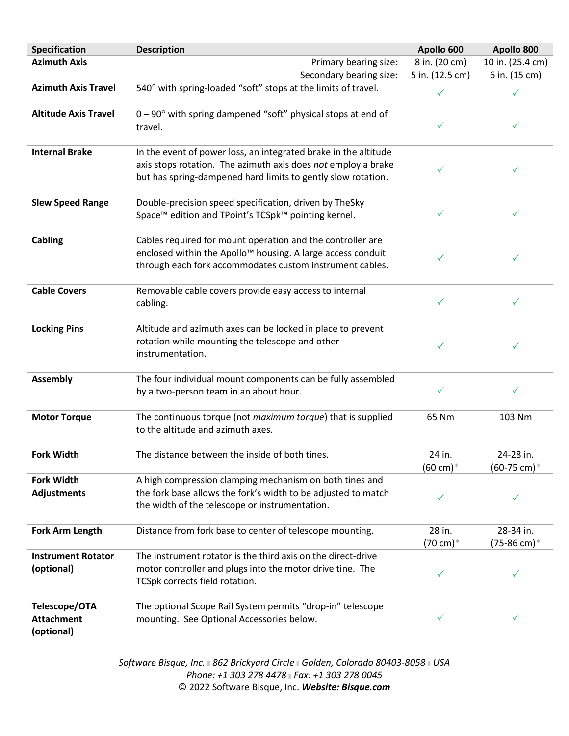| Specification                                    | <b>Description</b>                                                                                                                                                                                | Apollo 600                               | Apollo 800                          |
|--------------------------------------------------|---------------------------------------------------------------------------------------------------------------------------------------------------------------------------------------------------|------------------------------------------|-------------------------------------|
| <b>Azimuth Axis</b>                              | Primary bearing size:                                                                                                                                                                             | 8 in. (20 cm)                            | 10 in. (25.4 cm)                    |
|                                                  | Secondary bearing size:                                                                                                                                                                           | 5 in. (12.5 cm)                          | 6 in. (15 cm)                       |
| <b>Azimuth Axis Travel</b>                       | 540° with spring-loaded "soft" stops at the limits of travel.                                                                                                                                     | ✓                                        | ✓                                   |
| <b>Altitude Axis Travel</b>                      | $0-90^\circ$ with spring dampened "soft" physical stops at end of<br>travel.                                                                                                                      | ✓                                        | ✓                                   |
| <b>Internal Brake</b>                            | In the event of power loss, an integrated brake in the altitude<br>axis stops rotation. The azimuth axis does not employ a brake<br>but has spring-dampened hard limits to gently slow rotation.  | ✓                                        | ✓                                   |
| <b>Slew Speed Range</b>                          | Double-precision speed specification, driven by TheSky<br>Space™ edition and TPoint's TCSpk™ pointing kernel.                                                                                     | ✓                                        | ✓                                   |
| Cabling                                          | Cables required for mount operation and the controller are<br>enclosed within the Apollo <sup>™</sup> housing. A large access conduit<br>through each fork accommodates custom instrument cables. | ✓                                        | ✓                                   |
| <b>Cable Covers</b>                              | Removable cable covers provide easy access to internal<br>cabling.                                                                                                                                | ✓                                        | ✓                                   |
| <b>Locking Pins</b>                              | Altitude and azimuth axes can be locked in place to prevent<br>rotation while mounting the telescope and other<br>instrumentation.                                                                | ✓                                        | $\checkmark$                        |
| <b>Assembly</b>                                  | The four individual mount components can be fully assembled<br>by a two-person team in an about hour.                                                                                             | ✓                                        | ✓                                   |
| <b>Motor Torque</b>                              | The continuous torque (not <i>maximum torque</i> ) that is supplied<br>to the altitude and azimuth axes.                                                                                          | 65 Nm                                    | 103 Nm                              |
| <b>Fork Width</b>                                | The distance between the inside of both tines.                                                                                                                                                    | 24 in.<br>$(60 \text{ cm})$ <sup>*</sup> | 24-28 in.<br>$(60-75 \text{ cm})$ * |
| <b>Fork Width</b><br><b>Adjustments</b>          | A high compression clamping mechanism on both tines and<br>the fork base allows the fork's width to be adjusted to match<br>the width of the telescope or instrumentation.                        | $\checkmark$                             | ✓                                   |
| <b>Fork Arm Length</b>                           | Distance from fork base to center of telescope mounting.                                                                                                                                          | 28 in.<br>(70 cm)*                       | 28-34 in.<br>(75-86 cm)*            |
| <b>Instrument Rotator</b><br>(optional)          | The instrument rotator is the third axis on the direct-drive<br>motor controller and plugs into the motor drive tine. The<br>TCSpk corrects field rotation.                                       | ✓                                        | ✓                                   |
| Telescope/OTA<br><b>Attachment</b><br>(optional) | The optional Scope Rail System permits "drop-in" telescope<br>mounting. See Optional Accessories below.                                                                                           | ✓                                        | ✓                                   |